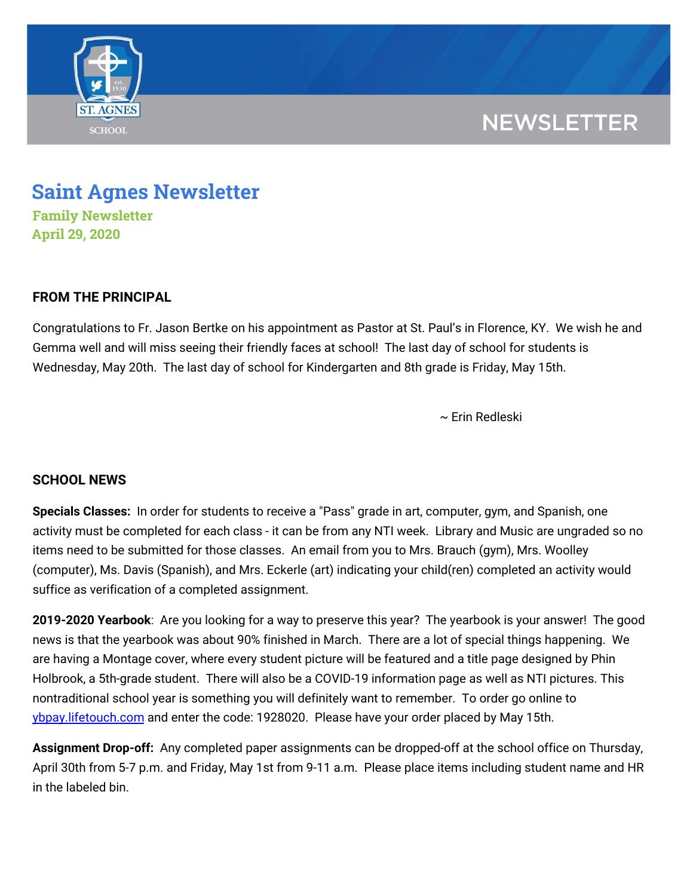

## **NEWSLETTER**

# **Saint Agnes Newsletter**

**Family Newsletter April 29, 2020**

### **FROM THE PRINCIPAL**

Congratulations to Fr. Jason Bertke on his appointment as Pastor at St. Paul's in Florence, KY. We wish he and Gemma well and will miss seeing their friendly faces at school! The last day of school for students is Wednesday, May 20th. The last day of school for Kindergarten and 8th grade is Friday, May 15th.

~ Erin Redleski

### **SCHOOL NEWS**

**Specials Classes:** In order for students to receive a "Pass" grade in art, computer, gym, and Spanish, one activity must be completed for each class - it can be from any NTI week. Library and Music are ungraded so no items need to be submitted for those classes. An email from you to Mrs. Brauch (gym), Mrs. Woolley (computer), Ms. Davis (Spanish), and Mrs. Eckerle (art) indicating your child(ren) completed an activity would suffice as verification of a completed assignment.

**2019-2020 Yearbook**: Are you looking for a way to preserve this year? The yearbook is your answer! The good news is that the yearbook was about 90% finished in March. There are a lot of special things happening. We are having a Montage cover, where every student picture will be featured and a title page designed by Phin Holbrook, a 5th-grade student. There will also be a COVID-19 information page as well as NTI pictures. This nontraditional school year is something you will definitely want to remember. To order go online to [ybpay.lifetouch.com](http://ybpay.lifetouch.com/) and enter the code: 1928020. Please have your order placed by May 15th.

**Assignment Drop-off:** Any completed paper assignments can be dropped-off at the school office on Thursday, April 30th from 5-7 p.m. and Friday, May 1st from 9-11 a.m. Please place items including student name and HR in the labeled bin.